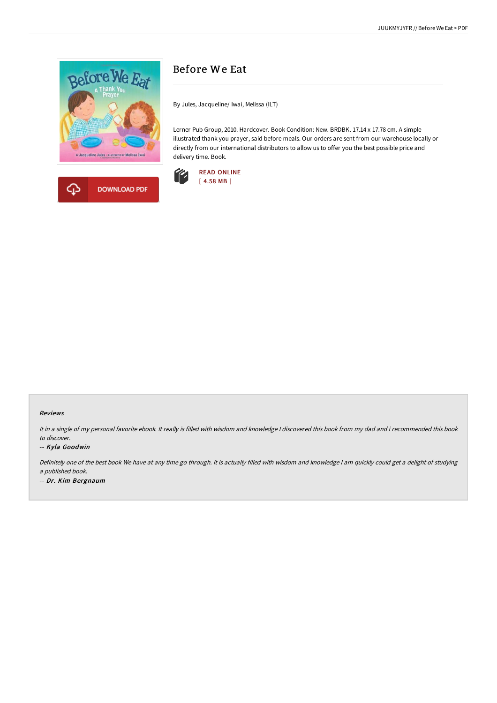



## Before We Eat

By Jules, Jacqueline/ Iwai, Melissa (ILT)

Lerner Pub Group, 2010. Hardcover. Book Condition: New. BRDBK. 17.14 x 17.78 cm. A simple illustrated thank you prayer, said before meals. Our orders are sent from our warehouse locally or directly from our international distributors to allow us to offer you the best possible price and delivery time. Book.



## Reviews

It in a single of my personal favorite ebook. It really is filled with wisdom and knowledge I discovered this book from my dad and i recommended this book to discover.

## -- Kyla Goodwin

Definitely one of the best book We have at any time go through. It is actually filled with wisdom and knowledge <sup>I</sup> am quickly could get <sup>a</sup> delight of studying <sup>a</sup> published book. -- Dr. Kim Bergnaum